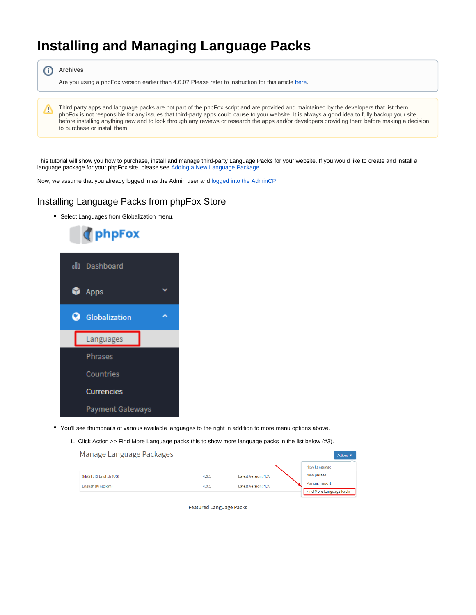## **Installing and Managing Language Packs**

⋒ **Archives**

Are you using a phpFox version earlier than 4.6.0? Please refer to instruction for this article [here.](https://docs.phpfox.com/display/AD/Installing+and+Managing+Language+Packs)

Third party apps and language packs are not part of the phpFox script and are provided and maintained by the developers that list them. Δ phpFox is not responsible for any issues that third-party apps could cause to your website. It is always a good idea to fully backup your site before installing anything new and to look through any reviews or research the apps and/or developers providing them before making a decision to purchase or install them.

This tutorial will show you how to purchase, install and manage third-party Language Packs for your website. If you would like to create and install a language package for your phpFox site, please see [Adding a New Language Package](https://docs.phpfox.com/display/FOX4MAN/Adding+a+New+Language+Package)

Now, we assume that you already logged in as the Admin user and [logged into the AdminCP](http://docs.phpfox.com/display/FOX4MAN/How+to+Log+in+to+the+AdminCP).

## Installing Language Packs from phpFox Store

Select Languages from Globalization menu.



- You'll see thumbnails of various available languages to the right in addition to more menu options above.
	- 1. Click Action >> Find More Language packs this to show more language packs in the list below (#3).



Featured Language Packs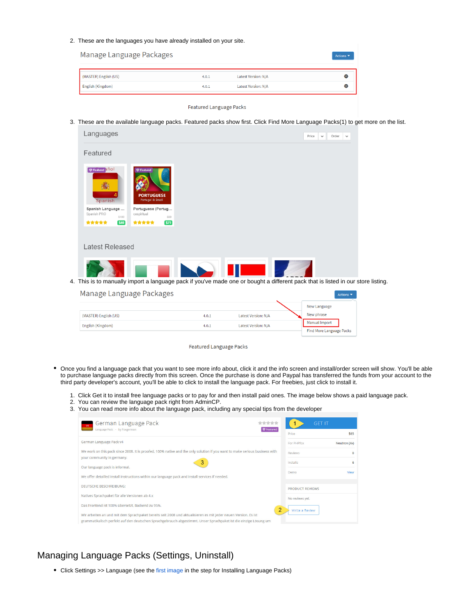2. These are the languages you have already installed on your site.

| Manage Language Packages |       |                     | Actions $\blacktriangledown$ |
|--------------------------|-------|---------------------|------------------------------|
| (MASTER) English (US)    | 4.0.1 | Latest Version: N/A | Ð                            |
| English (Kingdom)        | 4.0.1 | Latest Version: N/A | <b>O</b>                     |

Featured Language Packs

3. These are the available language packs. Featured packs show first. Click Find More Language Packs(1) to get more on the list.

| Languages                                      |                                                                                                                               |  | Price | $\checkmark$ | Order | $\checkmark$ |
|------------------------------------------------|-------------------------------------------------------------------------------------------------------------------------------|--|-------|--------------|-------|--------------|
| Featured                                       |                                                                                                                               |  |       |              |       |              |
| <b><i>Q</i></b> Featured <b>And</b><br>Spanish | <b>Example</b><br><b>PORTUGUESE</b><br>Portugal & Brazil                                                                      |  |       |              |       |              |
| Spanish Language<br>Spanish PRO<br>\$100       | Portuguese (Portug<br>cespiritual<br>599                                                                                      |  |       |              |       |              |
| *****<br>\$40                                  | *****<br>579                                                                                                                  |  |       |              |       |              |
|                                                |                                                                                                                               |  |       |              |       |              |
| Latest Released                                |                                                                                                                               |  |       |              |       |              |
|                                                |                                                                                                                               |  |       |              |       |              |
|                                                |                                                                                                                               |  |       |              |       |              |
|                                                | This is to manually import a language pack if you've made one or bought a different pack that is listed in our store listing. |  |       |              |       |              |

| Manage Language Packages |       |                     |                                 | Actions $\blacktriangledown$ |
|--------------------------|-------|---------------------|---------------------------------|------------------------------|
|                          |       |                     | New Language                    |                              |
| (MASTER) English (US)    | 4.0.1 | Latest Version: N/A | New phrase                      |                              |
| English (Kingdom)        | 4.0.1 | Latest Version: N/A | <b>Manual Import</b>            |                              |
|                          |       |                     | <b>Find More Language Packs</b> |                              |

Featured Language Packs

- Once you find a language pack that you want to see more info about, click it and the info screen and install/order screen will show. You'll be able to purchase language packs directly from this screen. Once the purchase is done and Paypal has transferred the funds from your account to the third party developer's account, you'll be able to click to install the language pack. For freebies, just click to install it.
	- 1. Click Get it to install free language packs or to pay for and then install paid ones. The image below shows a paid language pack.
	- 2. You can review the language pack right from AdminCP.

4.

3. You can read more info about the language pack, including any special tips from the developer

| German Language Pack<br>*****                                                                                               | <b>GFT IT</b>              |
|-----------------------------------------------------------------------------------------------------------------------------|----------------------------|
| <b>D</b> Featured<br>Language Pack - by Foxgerman                                                                           | \$65<br>Price              |
| German Language Pack v4                                                                                                     | For PHPfox<br>Neutron (4x) |
| We work on this pack since 2008. It is proofed, 100% native and the only solution if you want to make serious business with | $\Omega$<br><b>Reviews</b> |
| your community in germany.<br>3                                                                                             | Installs<br>6              |
| Our language pack is informal.                                                                                              | Demo<br>View               |
| We offer detailled install instructions within our language pack and install services if needed.                            |                            |
| DEUTSCHE BESCHREIBUNG:                                                                                                      | <b>PRODUCT REVIEWS</b>     |
| Natives Sprachpaket für alle Versionen ab 4.x                                                                               | No reviews yet.            |
| Das Frontend ist 100% übersetzt. Backend zu 95%.                                                                            | 2<br>Write a Review        |
| Wir arbeiten an und mit dem Sprachpaket bereits seit 2008 und aktualisieren es mit jeder neuen Version. Es ist              |                            |
| grammatikalisch perfekt auf den deutschen Sprachgebrauch abgestimmt. Unser Sprachpaket ist die einzige Lösung um            |                            |

## Managing Language Packs (Settings, Uninstall)

Click Settings >> Language (see the [first image](https://docs.phpfox.com/pages/viewpage.action?pageId=5013550#InstallingandManagingLanguagePacks-languagemenu) in the step for Installing Language Packs)